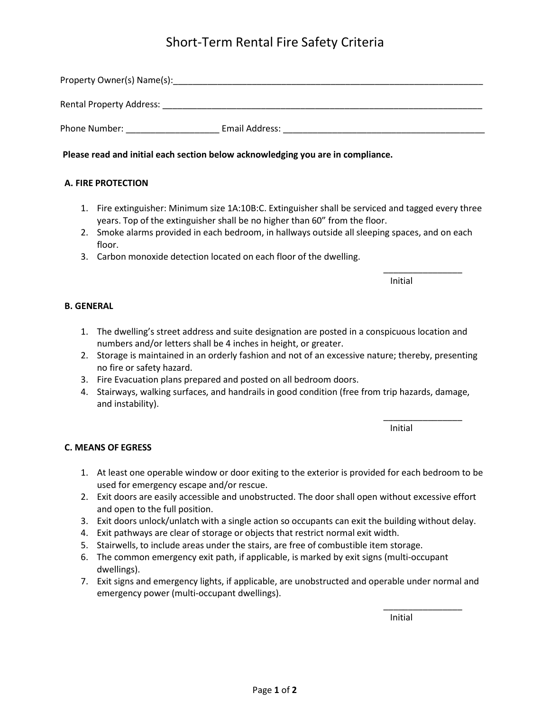# Short-Term Rental Fire Safety Criteria

| Property Owner(s) Name(s):      |                |
|---------------------------------|----------------|
| <b>Rental Property Address:</b> |                |
| Phone Number:                   | Email Address: |

**Please read and initial each section below acknowledging you are in compliance.**

## **A. FIRE PROTECTION**

- 1. Fire extinguisher: Minimum size 1A:10B:C. Extinguisher shall be serviced and tagged every three years. Top of the extinguisher shall be no higher than 60" from the floor.
- 2. Smoke alarms provided in each bedroom, in hallways outside all sleeping spaces, and on each floor.
- 3. Carbon monoxide detection located on each floor of the dwelling.

Initial

\_\_\_\_\_\_\_\_\_\_\_\_\_\_\_\_

## **B. GENERAL**

- 1. The dwelling's street address and suite designation are posted in a conspicuous location and numbers and/or letters shall be 4 inches in height, or greater.
- 2. Storage is maintained in an orderly fashion and not of an excessive nature; thereby, presenting no fire or safety hazard.
- 3. Fire Evacuation plans prepared and posted on all bedroom doors.
- 4. Stairways, walking surfaces, and handrails in good condition (free from trip hazards, damage, and instability).

Initial

\_\_\_\_\_\_\_\_\_\_\_\_\_\_\_\_

#### **C. MEANS OF EGRESS**

- 1. At least one operable window or door exiting to the exterior is provided for each bedroom to be used for emergency escape and/or rescue.
- 2. Exit doors are easily accessible and unobstructed. The door shall open without excessive effort and open to the full position.
- 3. Exit doors unlock/unlatch with a single action so occupants can exit the building without delay.
- 4. Exit pathways are clear of storage or objects that restrict normal exit width.
- 5. Stairwells, to include areas under the stairs, are free of combustible item storage.
- 6. The common emergency exit path, if applicable, is marked by exit signs (multi-occupant dwellings).
- 7. Exit signs and emergency lights, if applicable, are unobstructed and operable under normal and emergency power (multi-occupant dwellings).

Initial

\_\_\_\_\_\_\_\_\_\_\_\_\_\_\_\_